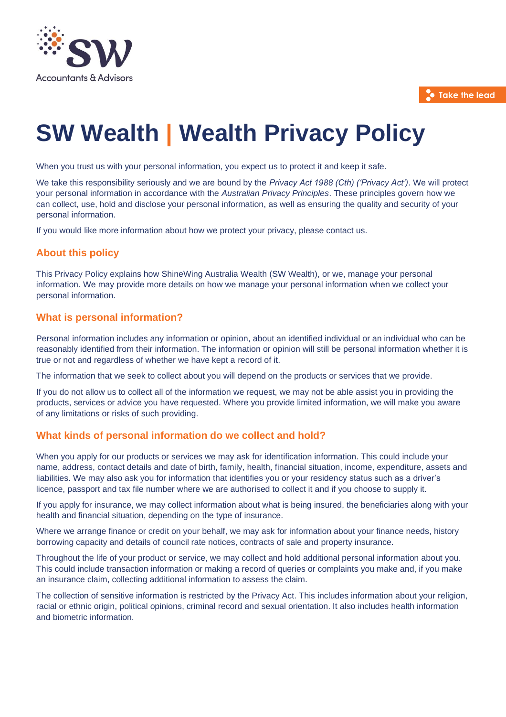

**Take the lead**

# **SW Wealth | Wealth Privacy Policy**

When you trust us with your personal information, you expect us to protect it and keep it safe.

We take this responsibility seriously and we are bound by the *Privacy Act 1988 (Cth) ('Privacy Act')*. We will protect your personal information in accordance with the *Australian Privacy Principles*. These principles govern how we can collect, use, hold and disclose your personal information, as well as ensuring the quality and security of your personal information.

If you would like more information about how we protect your privacy, please contact us.

# **About this policy**

This Privacy Policy explains how ShineWing Australia Wealth (SW Wealth), or we, manage your personal information. We may provide more details on how we manage your personal information when we collect your personal information.

# **What is personal information?**

Personal information includes any information or opinion, about an identified individual or an individual who can be reasonably identified from their information. The information or opinion will still be personal information whether it is true or not and regardless of whether we have kept a record of it.

The information that we seek to collect about you will depend on the products or services that we provide.

If you do not allow us to collect all of the information we request, we may not be able assist you in providing the products, services or advice you have requested. Where you provide limited information, we will make you aware of any limitations or risks of such providing.

# **What kinds of personal information do we collect and hold?**

When you apply for our products or services we may ask for identification information. This could include your name, address, contact details and date of birth, family, health, financial situation, income, expenditure, assets and liabilities. We may also ask you for information that identifies you or your residency status such as a driver's licence, passport and tax file number where we are authorised to collect it and if you choose to supply it.

If you apply for insurance, we may collect information about what is being insured, the beneficiaries along with your health and financial situation, depending on the type of insurance.

Where we arrange finance or credit on your behalf, we may ask for information about your finance needs, history borrowing capacity and details of council rate notices, contracts of sale and property insurance.

Throughout the life of your product or service, we may collect and hold additional personal information about you. This could include transaction information or making a record of queries or complaints you make and, if you make an insurance claim, collecting additional information to assess the claim.

The collection of sensitive information is restricted by the Privacy Act. This includes information about your religion, racial or ethnic origin, political opinions, criminal record and sexual orientation. It also includes health information and biometric information.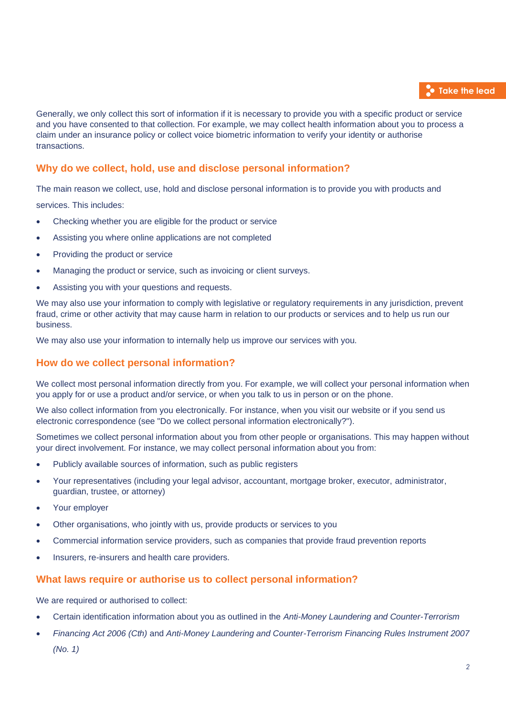

Generally, we only collect this sort of information if it is necessary to provide you with a specific product or service and you have consented to that collection. For example, we may collect health information about you to process a claim under an insurance policy or collect voice biometric information to verify your identity or authorise transactions.

# **Why do we collect, hold, use and disclose personal information?**

The main reason we collect, use, hold and disclose personal information is to provide you with products and

services. This includes:

- Checking whether you are eligible for the product or service
- Assisting you where online applications are not completed
- Providing the product or service
- Managing the product or service, such as invoicing or client surveys.
- Assisting you with your questions and requests.

We may also use your information to comply with legislative or regulatory requirements in any jurisdiction, prevent fraud, crime or other activity that may cause harm in relation to our products or services and to help us run our business.

We may also use your information to internally help us improve our services with you.

# **How do we collect personal information?**

We collect most personal information directly from you. For example, we will collect your personal information when you apply for or use a product and/or service, or when you talk to us in person or on the phone.

We also collect information from you electronically. For instance, when you visit our website or if you send us electronic correspondence (see "Do we collect personal information electronically?").

Sometimes we collect personal information about you from other people or organisations. This may happen without your direct involvement. For instance, we may collect personal information about you from:

- Publicly available sources of information, such as public registers
- Your representatives (including your legal advisor, accountant, mortgage broker, executor, administrator, guardian, trustee, or attorney)
- Your employer
- Other organisations, who jointly with us, provide products or services to you
- Commercial information service providers, such as companies that provide fraud prevention reports
- Insurers, re-insurers and health care providers.

#### **What laws require or authorise us to collect personal information?**

We are required or authorised to collect:

- Certain identification information about you as outlined in the *Anti-Money Laundering and Counter-Terrorism*
- *Financing Act 2006 (Cth)* and *Anti-Money Laundering and Counter-Terrorism Financing Rules Instrument 2007 (No. 1)*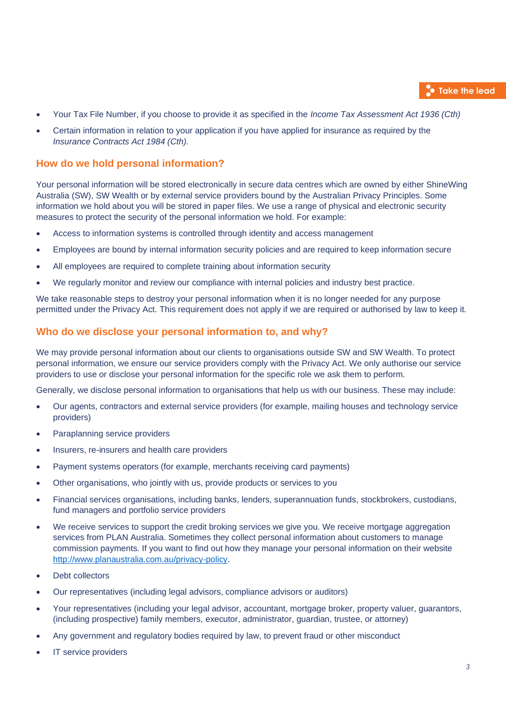

- Your Tax File Number, if you choose to provide it as specified in the *Income Tax Assessment Act 1936 (Cth)*
- Certain information in relation to your application if you have applied for insurance as required by the *Insurance Contracts Act 1984 (Cth).*

# **How do we hold personal information?**

Your personal information will be stored electronically in secure data centres which are owned by either ShineWing Australia (SW), SW Wealth or by external service providers bound by the Australian Privacy Principles. Some information we hold about you will be stored in paper files. We use a range of physical and electronic security measures to protect the security of the personal information we hold. For example:

- Access to information systems is controlled through identity and access management
- Employees are bound by internal information security policies and are required to keep information secure
- All employees are required to complete training about information security
- We regularly monitor and review our compliance with internal policies and industry best practice.

We take reasonable steps to destroy your personal information when it is no longer needed for any purpose permitted under the Privacy Act. This requirement does not apply if we are required or authorised by law to keep it.

### **Who do we disclose your personal information to, and why?**

We may provide personal information about our clients to organisations outside SW and SW Wealth. To protect personal information, we ensure our service providers comply with the Privacy Act. We only authorise our service providers to use or disclose your personal information for the specific role we ask them to perform.

Generally, we disclose personal information to organisations that help us with our business. These may include:

- Our agents, contractors and external service providers (for example, mailing houses and technology service providers)
- Paraplanning service providers
- Insurers, re-insurers and health care providers
- Payment systems operators (for example, merchants receiving card payments)
- Other organisations, who jointly with us, provide products or services to you
- Financial services organisations, including banks, lenders, superannuation funds, stockbrokers, custodians, fund managers and portfolio service providers
- We receive services to support the credit broking services we give you. We receive mortgage aggregation services from PLAN Australia. Sometimes they collect personal information about customers to manage commission payments. If you want to find out how they manage your personal information on their website [http://www.planaustralia.com.au/privacy-policy.](http://www.planaustralia.com.au/privacy-policy)
- Debt collectors
- Our representatives (including legal advisors, compliance advisors or auditors)
- Your representatives (including your legal advisor, accountant, mortgage broker, property valuer, guarantors, (including prospective) family members, executor, administrator, guardian, trustee, or attorney)
- Any government and regulatory bodies required by law, to prevent fraud or other misconduct
- IT service providers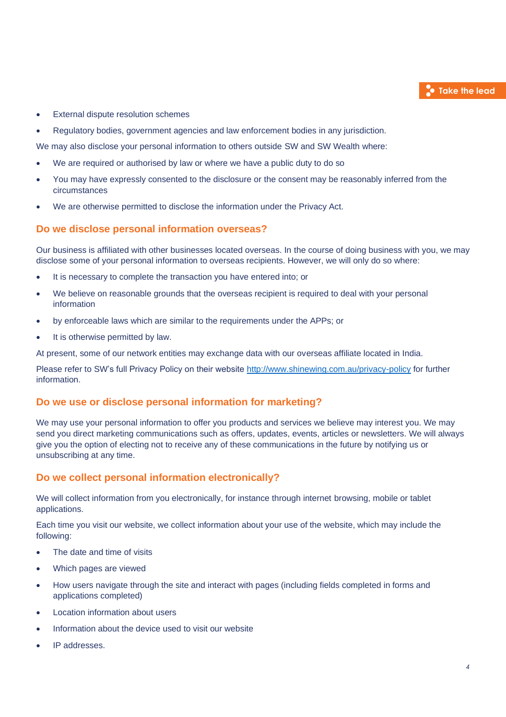

- External dispute resolution schemes
- Regulatory bodies, government agencies and law enforcement bodies in any jurisdiction.

We may also disclose your personal information to others outside SW and SW Wealth where:

- We are required or authorised by law or where we have a public duty to do so
- You may have expressly consented to the disclosure or the consent may be reasonably inferred from the circumstances
- We are otherwise permitted to disclose the information under the Privacy Act.

### **Do we disclose personal information overseas?**

Our business is affiliated with other businesses located overseas. In the course of doing business with you, we may disclose some of your personal information to overseas recipients. However, we will only do so where:

- It is necessary to complete the transaction you have entered into; or
- We believe on reasonable grounds that the overseas recipient is required to deal with your personal information
- by enforceable laws which are similar to the requirements under the APPs; or
- It is otherwise permitted by law.

At present, some of our network entities may exchange data with our overseas affiliate located in India.

Please refer to SW's full Privacy Policy on their website<http://www.shinewing.com.au/privacy-policy> for further information.

#### **Do we use or disclose personal information for marketing?**

We may use your personal information to offer you products and services we believe may interest you. We may send you direct marketing communications such as offers, updates, events, articles or newsletters. We will always give you the option of electing not to receive any of these communications in the future by notifying us or unsubscribing at any time.

# **Do we collect personal information electronically?**

We will collect information from you electronically, for instance through internet browsing, mobile or tablet applications.

Each time you visit our website, we collect information about your use of the website, which may include the following:

- The date and time of visits
- Which pages are viewed
- How users navigate through the site and interact with pages (including fields completed in forms and applications completed)
- Location information about users
- Information about the device used to visit our website
- IP addresses.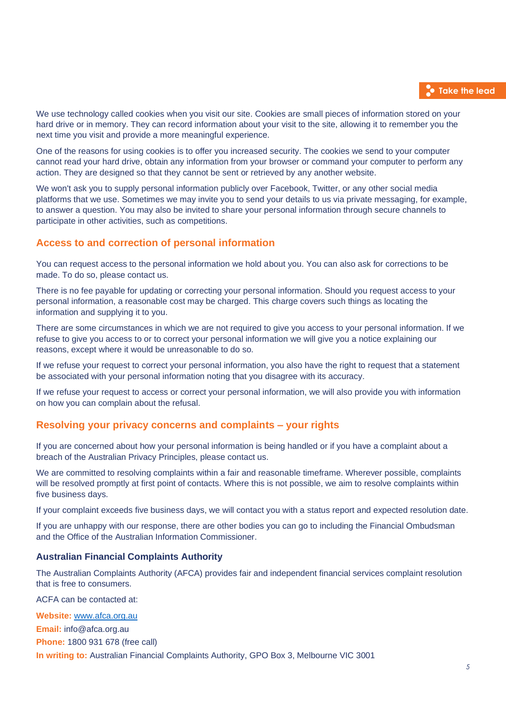We use technology called cookies when you visit our site. Cookies are small pieces of information stored on your hard drive or in memory. They can record information about your visit to the site, allowing it to remember you the next time you visit and provide a more meaningful experience.

One of the reasons for using cookies is to offer you increased security. The cookies we send to your computer cannot read your hard drive, obtain any information from your browser or command your computer to perform any action. They are designed so that they cannot be sent or retrieved by any another website.

We won't ask you to supply personal information publicly over Facebook, Twitter, or any other social media platforms that we use. Sometimes we may invite you to send your details to us via private messaging, for example, to answer a question. You may also be invited to share your personal information through secure channels to participate in other activities, such as competitions.

# **Access to and correction of personal information**

You can request access to the personal information we hold about you. You can also ask for corrections to be made. To do so, please contact us.

There is no fee payable for updating or correcting your personal information. Should you request access to your personal information, a reasonable cost may be charged. This charge covers such things as locating the information and supplying it to you.

There are some circumstances in which we are not required to give you access to your personal information. If we refuse to give you access to or to correct your personal information we will give you a notice explaining our reasons, except where it would be unreasonable to do so.

If we refuse your request to correct your personal information, you also have the right to request that a statement be associated with your personal information noting that you disagree with its accuracy.

If we refuse your request to access or correct your personal information, we will also provide you with information on how you can complain about the refusal.

# **Resolving your privacy concerns and complaints – your rights**

If you are concerned about how your personal information is being handled or if you have a complaint about a breach of the Australian Privacy Principles, please contact us.

We are committed to resolving complaints within a fair and reasonable timeframe. Wherever possible, complaints will be resolved promptly at first point of contacts. Where this is not possible, we aim to resolve complaints within five business days.

If your complaint exceeds five business days, we will contact you with a status report and expected resolution date.

If you are unhappy with our response, there are other bodies you can go to including the Financial Ombudsman and the Office of the Australian Information Commissioner.

#### **Australian Financial Complaints Authority**

The Australian Complaints Authority (AFCA) provides fair and independent financial services complaint resolution that is free to consumers.

ACFA can be contacted at:

**Website:** [www.afca.org.au](http://www.afca.org.au/) **Email:** info@afca.org.au **Phone:** 1800 931 678 (free call) **In writing to:** Australian Financial Complaints Authority, GPO Box 3, Melbourne VIC 3001